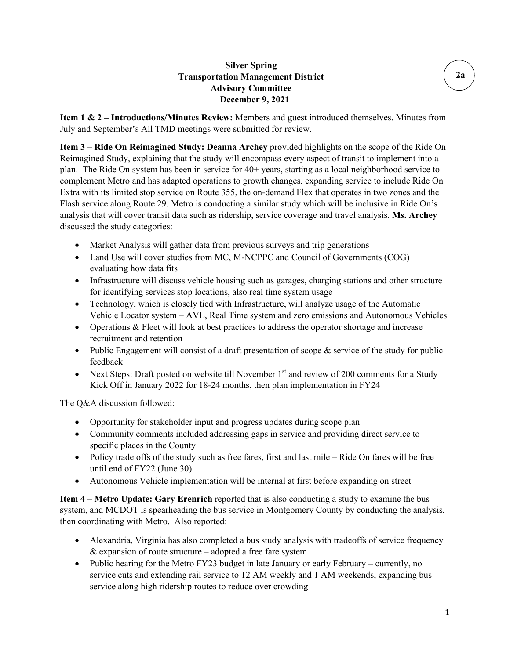### **Silver Spring Transportation Management District Advisory Committee December 9, 2021**

**Item 1 & 2 – Introductions/Minutes Review:** Members and guest introduced themselves. Minutes from July and September's All TMD meetings were submitted for review.

**Item 3 – Ride On Reimagined Study: Deanna Archey** provided highlights on the scope of the Ride On Reimagined Study, explaining that the study will encompass every aspect of transit to implement into a plan. The Ride On system has been in service for 40+ years, starting as a local neighborhood service to complement Metro and has adapted operations to growth changes, expanding service to include Ride On Extra with its limited stop service on Route 355, the on-demand Flex that operates in two zones and the Flash service along Route 29. Metro is conducting a similar study which will be inclusive in Ride On's analysis that will cover transit data such as ridership, service coverage and travel analysis. **Ms. Archey** discussed the study categories:

- Market Analysis will gather data from previous surveys and trip generations
- Land Use will cover studies from MC, M-NCPPC and Council of Governments (COG) evaluating how data fits
- Infrastructure will discuss vehicle housing such as garages, charging stations and other structure for identifying services stop locations, also real time system usage
- Technology, which is closely tied with Infrastructure, will analyze usage of the Automatic Vehicle Locator system – AVL, Real Time system and zero emissions and Autonomous Vehicles
- Operations & Fleet will look at best practices to address the operator shortage and increase recruitment and retention
- Public Engagement will consist of a draft presentation of scope  $\&$  service of the study for public feedback
- Next Steps: Draft posted on website till November  $1<sup>st</sup>$  and review of 200 comments for a Study Kick Off in January 2022 for 18-24 months, then plan implementation in FY24

The Q&A discussion followed:

- Opportunity for stakeholder input and progress updates during scope plan
- Community comments included addressing gaps in service and providing direct service to specific places in the County
- Policy trade offs of the study such as free fares, first and last mile Ride On fares will be free until end of FY22 (June 30)
- Autonomous Vehicle implementation will be internal at first before expanding on street

**Item 4 – Metro Update: Gary Erenrich** reported that is also conducting a study to examine the bus system, and MCDOT is spearheading the bus service in Montgomery County by conducting the analysis, then coordinating with Metro. Also reported:

- Alexandria, Virginia has also completed a bus study analysis with tradeoffs of service frequency & expansion of route structure – adopted a free fare system
- Public hearing for the Metro FY23 budget in late January or early February currently, no service cuts and extending rail service to 12 AM weekly and 1 AM weekends, expanding bus service along high ridership routes to reduce over crowding

**2a**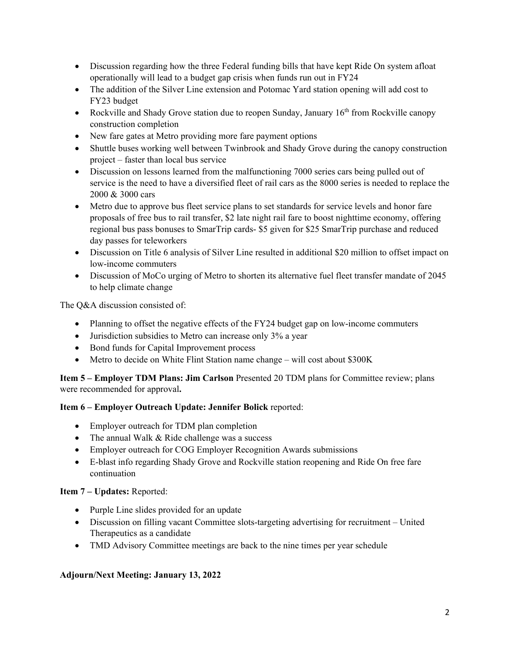- Discussion regarding how the three Federal funding bills that have kept Ride On system afloat operationally will lead to a budget gap crisis when funds run out in FY24
- The addition of the Silver Line extension and Potomac Yard station opening will add cost to FY23 budget
- Rockville and Shady Grove station due to reopen Sunday, January  $16<sup>th</sup>$  from Rockville canopy construction completion
- New fare gates at Metro providing more fare payment options
- Shuttle buses working well between Twinbrook and Shady Grove during the canopy construction project – faster than local bus service
- Discussion on lessons learned from the malfunctioning 7000 series cars being pulled out of service is the need to have a diversified fleet of rail cars as the 8000 series is needed to replace the 2000 & 3000 cars
- Metro due to approve bus fleet service plans to set standards for service levels and honor fare proposals of free bus to rail transfer, \$2 late night rail fare to boost nighttime economy, offering regional bus pass bonuses to SmarTrip cards- \$5 given for \$25 SmarTrip purchase and reduced day passes for teleworkers
- Discussion on Title 6 analysis of Silver Line resulted in additional \$20 million to offset impact on low-income commuters
- Discussion of MoCo urging of Metro to shorten its alternative fuel fleet transfer mandate of 2045 to help climate change

The Q&A discussion consisted of:

- Planning to offset the negative effects of the FY24 budget gap on low-income commuters
- Jurisdiction subsidies to Metro can increase only 3% a year
- Bond funds for Capital Improvement process
- Metro to decide on White Flint Station name change will cost about \$300K

**Item 5 – Employer TDM Plans: Jim Carlson** Presented 20 TDM plans for Committee review; plans were recommended for approval**.**

#### **Item 6 – Employer Outreach Update: Jennifer Bolick** reported:

- Employer outreach for TDM plan completion
- The annual Walk & Ride challenge was a success
- Employer outreach for COG Employer Recognition Awards submissions
- E-blast info regarding Shady Grove and Rockville station reopening and Ride On free fare continuation

#### **Item 7 – Updates:** Reported:

- Purple Line slides provided for an update
- Discussion on filling vacant Committee slots-targeting advertising for recruitment United Therapeutics as a candidate
- TMD Advisory Committee meetings are back to the nine times per year schedule

#### **Adjourn/Next Meeting: January 13, 2022**